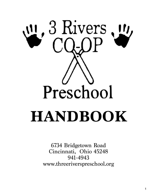

6734 Bridgetown Road Cincinnati, Ohio 45248 941-4943 [www.threeriverspreschool.org](http://www.threeriverspreschool.org)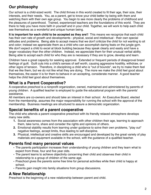# **Our philosophy**

Our school is a child-sized world. The child thrives in this world created to fit their age, their size, their interests, and their needs. You, as a parent, get to know your child better by being with them and watching them with their own age group. You begin to see more clearly the problems of childhood and the pleasures of parenthood. Trained, experienced teachers are the foundations of this world. They are there to help you have more faith in yourself and in your child. Together, we will work to help each child see themselves as a wonderful and unique human being.

**It is important for each child to be accepted as they are!!** This means we recognize that each child has their own rate of growth and developments - physical, social and intellectual - their own special attitudes and problems. Being able to accept means that we don't criticize the child for not wanting to sit and color; instead we appreciate them as a child who can accomplish daring feats on the jungle gym. We don't expect a child to excel at block building because they speak clearly and easily and have a larger vocabulary than the other children. Instead, we appreciate them for their unusual verbal ability. Being able to accept each child for who they are is necessary if they are to grow, develop and learn.

Children have a great capacity for seeking approval. Extended or frequent periods of disapproval breed feelings of guilt. Guilt cuts into a child's senses of self worth, causing aggressive hostility, withdraw, or other signs of tension. Therefore, in disciplining a child who is "out of bounds", we try to make them feel that we like them, but we do not like what they are doing. The more we make the child feel good about themselves, the easier it is for them to behave in an accepting, considerate manner. A good teacher helps the child feel good about themselves.

## **What is a Parent Cooperative?**

A cooperative preschool is a nonprofit organization, owned, maintained and administered by parents of young children. A qualified teacher is employed to guide the educational program with the parents' assistance.

All members are co-owners and should take an interest in their school. An Executive Board, elected from the membership, assumes the major responsibility for running the school with the approval of the membership. Business meetings are structured to assure a democratic organization.

## **Special benefits of a parent cooperative**

The child who attends a parent cooperative preschool with its friendly relaxed atmosphere develops many new skills.

- **1.** Social awareness comes from the association with other children their age, learning to approach them, take turns, share and consider the rights and opinions of others.
- **2.** Emotional stability results from learning under guidance to solve their own problems, "play out" negative feelings, accept limits, thus leading to self-discipline.
- **3.** Physical, intellectual and creative skills are encouraged and developed by the great variety of play materials and equipment available in the school, with the guidance of a qualified teacher.

## **Parents find many personal values**

- The parents participation increases their understanding of young children and they learn what to expect from three, four and five year olds.
- The parent learns to achieve objectivity concerning their child and observes their child in relationship to a group of children of the same age.
- Preschool gives the parents some free time for personal activities while their child is happy at school.
- Parents gain insight into family situations from group discussions.

## **A New Relationship**

Preschool is the beginning of a new relationship between parent and child.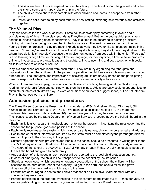- 1. This is often the child's first separation from their family. This break should be gradual and is the basis for a sound and happy relationship in the future.
- 2. The child learns to share their parents with other children and learns to accept help from other adults.
- 3. Parent and child learn to enjoy each other in a new setting, exploring new materials and activities together.

## **The Value of Play**

Play has been called the work of children. Some adults consider play something frivolous and a complete waste of time. "Free play" sounds as if anything goes! But, to the young child, play is very serious business requiring deep concentration. Play is a time to be absorbed in painting a picture, building with blocks or being grandmother in the house area. The feelings are earnest and intense. Young children engrossed in play are much like adults at work they love or like an artist enthralled in his creation. "Free play" allows the child to select what they do, how long they do it, how they do it and with whom they do it. It is "free play" because the involvement comes from deep within the child. "Free play" is also learning time; a time for thinking, a time for language, for memory time, a time to solve problems, a time to investigate, to organize ideas and thoughts, a time to use mind and body together with social skills to respond to an idea or solution.

Play is a time when children learn from each other. They are busy organizing their thoughts and impressions of the other children. In the parent cooperative the children are also learning from and about other adults. Their thoughts and impressions of assisting adults are usually based on the participating parents' response to their child. When assisting, your first responsibility is to your child.

When children are busy at play, the adults in the classroom are busy hearing what the children say, reading the children's faces and sensing what is on their minds. Adults are busy seeking opportunities to stimulate or interpret children's play. A word of caution: do support or suggest ideas, but do not interfere. Play is the serious work of children.

# **Admission policies and procedures**

The Three Rivers Cooperative Preschool, Inc. is located at 6734 Bridgetown Road, Cincinnati, OH 45248; Telephone Number: (513) 941-4943. We maintain a child/staff ratio of 8:1. No more than fourteen (14) three year olds or sixteen (16) four and five year olds may be cared for at one time. The license issued by the State Department of Human Services is located above the bulletin board in the classroom.

- Each family is given a parent handbook upon entering the program. It contains the rules governing the school and the purpose, goals and policies of the school.
- Each family receives a class roster which includes parents names, phone numbers, email and address.
- Health and enrollment information required by the State must be completed by the parent/guardian for each child prior to their first day in the program.
- Custody agreements with provisions applicable to the school should be presented in writing prior to the child's first day of school. All efforts will be made by the school to comply with any custody agreement.
- The hours of the school are 9:00AM to 11:30AM Monday through Friday. A daily schedule is posted on the bulletin board and given to each family.
- Any suspicion of child abuse and/or neglect will be reported to the local child protection agency.
- In case of emergency, the child will be transported to the hospital by the life squad.
- Should an event occur which requires emergency evacuation of the school; the children will be escorted to the barn at the rear of the property. To get to the barn, one should follow the gravel driveway off of the back parking which leads to the barn.
- Parents are encouraged to contact their child's teacher or an Executive Board member with any concerns they may have.
- Parents participate in the program by helping in the classroom approximately 5 to 7 times per year, as well as participating in the volunteer program and attending Executive Board meetings.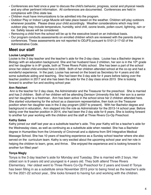- Conferences are held once a year to discuss the child's behavior, progress, social and physical needs and any other pertinent information. All conferences are documented. Conferences are held in compliance with Ohio state law.
- Children must have immunizations to be admitted into the program.
- Outdoor Play or Indoor Large Muscle will take place based on the weather. Children will play outdoors whenever possible. Please dress your child accordingly. Weather considerations which may limit outdoor play may include temperature, humidity, wind chill, ozone levels, pollen count, lightning, rain or ice. Safety issues will be considered.
- Removing a child from the school will be up to the executive board on an individual basis.
- Our program conducts assessments on enrolled children which are reviewed with the parents during conferences. These assessments are not reported to ODJFS pursuant to 5101:2-17-02 of the Administrative Code.

## **Meet our staff**

### **Louise Langhorst**

Louise is the 3 day teacher and the teacher's aide for the 2-day class. Louise has a Bachelor degree in Biology with an education background. She and her husband have 2 children, her son is in the 10<sup>th</sup> grade and her daughter is in 8<sup>th</sup> grade, both at Three Rivers Public school. She has been a part of the school since her oldest child enrolled here in 2009. Both of her children attended school at the co-op and had a wonderful experience. In the past, Louise has served on the board as Secretary for 4 years and did some substitute aiding and teaching. She had been the 3 day aide for 4 years before taking over the teacher position in 2017 and she has been the aide for the 2 day class since 2015 She is looking forward to another fun and exciting school year.

### **Ann Reichert**

Ann is the teacher for 2 day class, the Administrator and the Treasurer for the preschool. She is married and has 2 children. Both of her children will be attending Denison University this fall. Her son is a senior and her daughter is a freshman. Ann has been active in the school since her 2 children attended here. She started volunteering for the school as a classroom representative, then took on the Treasurer position when her daughter was in the 3 day program (2007 to present). With her Bachelor degree and background in education, Ann stepped into the role as Administrator for the 2013-14 school year. Before taking over the teacher position in 2014, she had been the 2 day aide for 6 years. She is looking forward to another fun year working with the children and the staff at Three Rivers Co-Op Preschool.

### **Kathy Gates**

Kathy joined our staff last year as a substitute teacher's aide. This year Kathy will be a teacher's aide for the Wednesday class, as well as continuing as a substitute aide when needed. She has a Bachelor degree in Humanities from the University of Cincinnati and a diploma from SHI Integrative Medical Massage School. She has 10 years of teaching experience as a Sunday school teacher where she also served on the curriculum team. Kathy is very excited about the upcoming school year and her role in helping the children to learn, grow, and thrive. She enjoyed the experience and is looking forward to another fun filled year!

### **Tonya Magly**

Tonya is the 3 day teacher's aide for Monday and Tuesday. She is married with 2 boys. Her oldest son is 9 years old and youngest is 4 years old. They both attend Three Rivers Elementary. Her oldest went to Three Rivers Co-Op Preschool for 2 years and loved it! Tonya has been filling in as a substitute since November 2015 prior to being hired as the teacher's aide for the 2021-22 school year,. She looks forward to having fun and working with the children.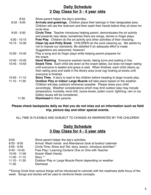## **Daily Schedule 2 Day Class for 3 - 4 year olds**

- 8:55 Show parent helper the day's activities.
- 8:55 9:05 **Arrivals and greetings**. Children place their belongs in their designated area. Children will use the restroom and then wash their hands before they sit down for circle time.
- 9:05 9:30 **Circle Time**. Teacher introduces helping parent, demonstrates the art activity and presents new ideas; sometimes there are songs, stories or finger plays.
- 9:30 10:15 **Free Play**. Children do the art activity and other activities of their choosing.
- 10:15 10:30 **Clean Up and Potty Break**. CHILDREN do the work cleaning up. We adults try not to impose our standards. Be satisfied if an adequate effort is made. Suggestions are welcomed, however!
- 10:30 10:40 Play a song and do finger plays while helping parent prepares for the snack.
- 10:40 10:45 **Hand Washing**. Everyone washes hands, taking turns and waiting in line.
- 10:45 10:55 **Snack Time**. Each child sits down at the snack tables, but does not begin eating until everyone is seated and grace is said. When finished, each child cleans up their eating area and waits in the library area (oval rug) looking at books until everyone is finished.
- 10:55 11:10 **Story Time**. A story is read to the children before heading to large muscle play.
- 11:10 11:30 **Outdoor Play or Indoor Large Muscle** will take place based on the weather. Children will play outdoors whenever possible. Please dress your child accordingly. Weather considerations which may limit outdoor play may include temperature, humidity, wind chill, ozone levels, pollen count, lightning, rain or ice. Safety issues will be considered.
	- 11:30 **Dismissed** to their parents.

### **Please check backpacks daily so that you do not miss out on information such as field trip, picture day and other special events.**

ALL TIME IS FLEXIBLE AND SUBJECT TO CHANGE AS WARRANTED BY THE CHILDREN!

### **Daily Schedule 3 Day Class for 4 - 5 year olds**

| 8:50            | Show parent helper the day's activities.                          |
|-----------------|-------------------------------------------------------------------|
| $8:55 - 9:05$   | Arrival: Wash hands and Attendance (look at books)/ calendar      |
| $9:05 - 9:40$   | Circle Time: Show and Tell, story, lesson, introduce activities** |
| $9:40 - 10:45$  | Free Play / Learning Centers/ One on One with Teacher             |
| $10:45 - 11:00$ | Snack/ Wash Hands                                                 |
| $11:00 - 11:15$ | Story **                                                          |
| $11:10 - 11:30$ | Outdoor Play or Large Muscle Room depending on weather            |
| 11:30           | <b>Dismissal</b>                                                  |

**\*\***During Circle time various things will be introduced to coincide with the readiness skills focus of the week. Songs and stories will be used to reinforce these concepts.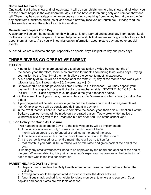### **Show and Tell For 3 Day**

One student will bring show and tell each day. It will be your child's turn to bring show and tell when you are the parent helper in the classroom that day. Please have children bring only one item for show and tell. There may be special days when everyone can bring something from home; like hat day or the first day back from Christmas break (so all can show a new toy received at Christmas). Please read the notes sent home from the school for this information.

#### **Calendar and papers For 3 Day**

A calendar will be sent home each month with topics, letters learned and special day information. Look for these in your child's backpack. This will help reinforce skills that we are learning at school as you talk about them at home. Also you will not miss out on information about picture day and other special events.

All schedules are subject to change, especially on special days like picture day and party days.

## **THREE RIVERS CO-OPERATIVE PARENT**

### **TUITION**

- **1.** Nine tuition installments are based on a total annual tuition divided by nine months of the school year.Therefore, there is no proration for months containing fewer class days. Paying your tuition by the first (1<sup>st</sup>) of the month allows the school to meet its expenses.
- 2. A late penalty of \$5.00 will be assessed after the tenth  $(10<sup>th</sup>)$  day of the month each week your tuition is late. (ex. 1 week late =  $$5, 2$  weeks late =  $$10)$
- 3. Checks should be made payable to Three Rivers Co-Op Preschool. You may deposit your payment in the purple box or give it directly to a teacher or aide. NEVER PLACE CASH IN PURPLE BOX! Cash payment must be given directly to a teacher or aide.
- 4. On the memo line of your check, please write your child's name and which class. ( ex. Joe Doe 3 day)
- 5. If your payment will be late, it is up to you to call the Treasurer and make arrangements with her. Otherwise, you will be considered delinquent in payment
- 6. In the event that your child is unable to complete the school year, then article 6 Section 4 of the By-Laws applies: refund will be made on a pro-rated bases. Two weeks written notice of withdrawal is to be given to the Treasurer, but not after April 15<sup>th</sup> of the school year.

### **Tuition Policy for Covid-19 Closure**

If we happen to close due to Covid-19 the following policy will be implemented:

- A. If the school is open for only 1 week in a month there will be ½
- month tuition credit to be refunded or credited at the end of the year.
- B. If the school is open for ½ month or more there is no refund for that month.
- C. If the school is closed for an entire month there will be no tuition for that month. If you **paid in full** a refund will be tabulated and given back at the end of the year.

Ultimately any credits/refunds will need to be approved by the board and applied at the end of the year. When establishing this policy the school's expenses that are due at the beginning of each month was taken into consideration.

### **PARENT HELPING DAYS** (5-7 times)

- 1. Helpers must complete the Daily Health screening and wear a mask before entering the building.
- 2. Arriving early would be appreciated in order to review the day's activities.
- 3. A nutritious snack and drink is helpful for class members, teachers and yourself. Cups, napkins and paper plates are available at school.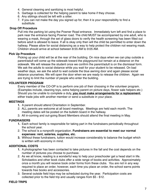- 4. General cleaning and sanitizing is most helpful.
- 5. Garbage is collected for the helping parent to take home if they choose.
- 6. Any siblings should be left with a sitter.
- 7. If you can not make the day you signed up for, then it is your responsibility to find a substitute.

#### **Drop Off Procedure**

Pull into the parking lot using the Powner Road entrance. Immediately turn left and find a place to park near the entrance facing Powner road. The child MUST be accompanied by one adult, who is wearing a mask, through the set of glass doors to verify the health screening has been filled out before adult is allowed to leave. If all is okay only then will the child be permitted to enter down the hallway. Please allow for social distancing as a way to help protect the children not wearing mask. Children should arrive at school between 8:55 AM to 9:05 AM.

#### **Pick Up Procedure**

Picking up your child will be at the rear of the building. On nice days when we can play outside a parent/adult will come up the sidewalk toward the playground but remain at a distance on the sidewalk. We will release the student once we confirm the parent/adult is on the dismissal form. We ask the adults to social distance while you wait for your student to be released. On bad weather days, we ask the adult to wait outside the blue awning door and again please social distance yourselves. We will open the door when we are ready to release the children. Again we are trying to limit the number of people who enter the building.

#### **VOLUNTEER PROGRAM**

Every member of the CO-OP is to perform one job of their choosing in the volunteer program. (Examples include, cleaning toys, extra helping parent on picture days, flower sale helpers etc.) Should you be unable to complete a duty, **you must make arrangements for a replacement**, either trade jobs with another member or send a substitute in your place.

#### **MEETINGS**

- **1.** A parent should attend Orientation in September.
- 2. ALL parents are welcome at all board meetings. Meetings are held each month. The meeting dates will be posted on the bulletin board in the hallway.
- 3. All in-coming and out-going Board Members should attend the final meeting in May.

#### **FUNDRAISERS**

- **1.** Each school family is responsible for taking part in the fundraisers periodically throughout the school year.
- 2. The school is a nonprofit organization. **Fundraisers are essential to meet our normal expenses: rent, salaries, supplies, etc.**
- **3.** Without these fundraisers, tuition would increase considerably to balance the budget which is written with economy in mind.

### **ADDITIONAL COSTS**

- **1.** A photographer has been contacted to take pictures in the fall and the cost depends on the number of pictures you choose to purchase.
- 2. As we all know, reading is a wonderful way to help your preschooler get a head start in life. Scholastics and other book clubs offer a wide range of books and activities. Approximately once a month you will receive book order forms from these clubs. You are not in any way required to place an order, however, each time you place an order, the school earns points towards free books and accessories.
- 3. Several outside field trips may be scheduled during the year. Participation costs are collected prior to the field trip and usually ranges from \$5 - \$12.

#### **FIELD TRIPS**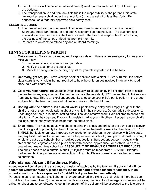- **1.** Field trip costs will be collected at least one (1) week prior to each field trip. All field trips are optional.
- 2. The transportation to and from any field trip is the responsibility of the parent. Ohio state law requires every child under the age of four (4) and a weight of less than forty (40) pounds to use a federally approved child safety seat.

### **EXECUTIVE BOARD**

- 1. The Executive Board is comprised of volunteer parents and consists of a Chairperson, Secretary, Registrar, Treasurer and both Classroom Representatives. The teachers and administrator are members of the Board as well. The Board is responsible for conducting the business of the school. Meetings are held monthly.
- 2. Parents are welcome to attend any and all Board meetings.

### **HINTS FOR HELPING PARENT**

- 1. **Make a memo.** Mark your calendar, and keep your date. If illness or an emergency forces you to miss your turn:
	- 1. Find a substitute, someone near your date.
	- 2. Notify the teacher of the substitute.
	- 3. Mark the change on the helping day list for your class posted in the hallway.
- 2. **Get ready, get set, go!** Leave siblings or other children with a sitter. Arrive 5-10 minutes before class starts is very helpful but not required to help the children get involved in an activity, read story, help with coats, etc..
- 3. **Color yourself natural.** Be yourself! Dress casually, relax and enjoy the children. Plan to assist the teacher in any way you can. Remember you are the assistant, NOT the teacher. Activities vary from day to day. This is an excellent opportunity to observe your child's participation in the group and see how the teacher meets situations and works with the children.
- 4. **Coping with the children. It's a small world.** Speak slowly, softly and simply. Laugh with the children, not at them. Avoid talking about any child in their presence. Detour adult gab sessions. Encourage self-help in routines, setting difficulties, and creative work. Help children to share and take turns. Don't be surprised if your child resists sharing you with others. Recognize your child's feelings, but extend yourself as helper for the entire class.
- 5. **Snack time.** The helping adult who chose to bring the snack and drink for the day, could discover that it is a great opportunity for the child to help choose the healthy snack for the class. KEEP IT SIMPLE, but look for variety. Introduce new foods to the children. In compliance with Ohio state law, any food that has to be prepared, must be prepared at school (Example: fruit must be brought whole and cut up at school). Some nutritious suggestions: fruit, yogurt, popcorn, bagels with cream cheese, vegetables and dip, crackers with cheese, applesauce, or pretzels. We are a peanut and tree nut free school so, **ABSOLUTELY NO PEANUT OR TREE NUT PRODUCTS**. The drink needs to be a nutritious drink (fruit juices must be made from 100% fruit). Birthday parties and holiday parties are an exception to this rule. Please consult your teacher for these celebrations.

### **Attendance, Absent &Tardiness Policy**

Attendance will be taken at the start and conclusion of each day by the teacher. **If your child will be absent for whatever reason, please notify the teacher and provide reason for absence. In an urgent situation such as exposure to Covid-19 text your teacher immediately.**

Parent is to call their teacher's cell phone if they are detained in picking up their child. If there has been no call from the parent five (5) minutes after the class is over, the parent and emergency numbers will be called for directions to be followed. A fee in the amount of five dollars will be assessed to the late parent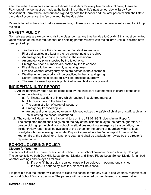after that initial five minutes and an additional five dollars for every five minutes following thereafter. Payment of the fee must be made at the beginning of the child's next school day. A Tardy Fee Assessment Form will be filled out and signed by both the teacher and the later parent which shall state the date of occurrence, the fee due and the fee due date.

Parent is to notify the school before release time, if there is a change in the person authorized to pick up the child.

## **SAFETY POLICY**

Normally parents are welcome to visit the classroom at any time but due to Covid-19 this must be limited. Upon release of the children, teacher and helping parent will stay with the children until all children have been picked up.

- Teachers will have the children under constant supervision.
- First aid supplies are kept in the red cabinet next to the sink.
- An emergency telephone is located in the classroom.
- An emergency plan is posted by the telephone.
- Emergency phone numbers are posted by the telephone.
- Fire drills are to be held monthly at varying times.
- Fire and weather emergency plans are posted in the classroom.
- Weather emergency drills will be practiced in the fall and spring.
- Safety (Sheltering in place) drills will be practiced quarterly.
- The use of aerosol sprays is prohibited when children are present.

## **INCIDENT/INJURY REPORT**

- 1. An incident/injury report will be completed by the child care staff member in charge of the child when the following occur:
	- a. An illness, accident or injury which requires first aid treatment; or
	- b. A bump or blow to the head; or
	- c. The administration of syrup of ipecac; or
	- d. Emergency transporting; or
	- e. An unusual or unexpected event which jeopardizes the safety of children or staff, such as, a child leaving the school unattended.
- 2. The center will document the incident/injury on the JFS 02199 "Incident/Injury Report". The completed report shall be given on the day of the incident/injury to the parent, guardian, or person picking up the child from school. In situations requiring emergency transportation, the incident/injury report shall be available at the school for the parent or guardian within at least twenty-four hours following the incident/injury. Copies of incident/injury report forms shall be kept on file at the school for at least one year, and shall be available for review by the director's representative.

## **SCHOOL CLOSING POLICY**

### **Closure for Weather**

The school follows the Three Rivers Local School District school calendar for most holiday closings. The school follows both Oak Hills Local School District and Three Rivers Local School District for all bad weather closings and delays as follows:

- 1. If a one (1) hour delay is called, class will be delayed in opening one (1) hour.
- 2. If a two (2) hour delay is called, class will be closed.

It is possible that the teacher will decide to close the school for the day due to bad weather, regardless of the Local School Districts decision. The parents will be contacted by the classroom representative.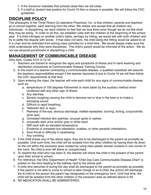- 1. If the Governor mandate that schools close then we will close.
- 2. If a staff or student test positive for Covid-19 then a closure is possible. We will follow the CDC guidelines.

# **DISCIPLINE POLICY**

The philosophy of the Three Rivers Co-operative Preschool, Inc. is that children, parents and teachers go to school together, each learning from the other. We realize and accept that all children are individuals. In disciplining, we want children to feel that we love them even though we do not like what they may be doing. In order to do this, we establish rules with the children at the beginning of the school year. If a child infringes on another child's rights, perhaps by hitting, we would talk with both children and try to settle the dispute with words. If that does not work, the child doing the hitting would be asked to sit in a chair and be restricted from joining class activities for a brief time. We would always make sure the child understands why they were disciplined. The child's parent would be informed of the action. We do not use physical punishment in disciplining a child.

# **MANAGEMENT OF COMMUNICABLE DISEASE**

Ohio Adm. Codes 5101:2-12-16

- 1. Teachers are trained to recognize the signs and symptoms of illness and in hand washing and disinfection procedures at Communicable Disease Training Course.
- 2. In the event of a teacher contracting a communicable disease, a qualified substitute will assume the teachers responsibilities except if the teacher becomes ill due to Covid-19 we will then follow the CDC requirements at that time.
- 3. Upon entering the class, the teacher will note each child for any signs of communicable disease such as:
	- a. temperature of 100 degrees Fahrenheit or more taken by the auxiliary method when combined with any other sign of illness.
	- b. Any diarrhea.
	- c. Severe coughing causing the child to become red or blue in the face or to make a whooping sound.
	- d. Difficult or rapid breathing.
	- e. Yellowish skin or eyes.
	- f. Redness of the eye, obvious discharge, matted eyelashes, burning, itching, conjunctivitis (pink eye).
	- g. Untreated infected skin patches, unusual spots or rashes.
	- h. Unusually dark urine and/or gray or white stool.
	- i. Stiff neck with an elevated temperature.
	- j. Evidence of untreated lice infestation, scabies, or other parasitic infestations.
	- k. Sore throat or difficulty in swallowing.
	- l. Any vomiting.
- 4. If the child shows any of the above signs, they are to be discharged to the parent as promptly as possible. Until such time, the child will be isolated from the other children by having them lie down on the cot within the exclusion area created by using clear plastic shower curtains in one corner of the room. No child is ever left alone or unsupervised.
- 5. To readmit the child who has been ill, the teacher will check the child in the present of the parent upon their arrival to school.
- 6. For reference, the Ohio Department of Health "Child Day Care Communicable Disease Chart" is posted on the door leading to the hallway next to the phone jack.
- 7. A child who becomes ill during the day shall be discharged to the parent as promptly as possible. If the parent is not able to come to school to take charge of an ill child, the school will discharge the ill child to the person the parent has designated on the emergency form. Until that time, the child will be isolated from the other children in the exclusion area as defined above in #4.
- 8. NO MEDICATION SHALL BE ADMINISTERED.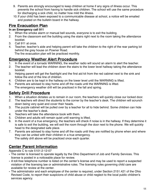- 9. Parents are strongly encouraged to keep children at home if any signs of illness occur. This prevents the school from having to handle sick children. The school will use the same procedure for discharging a sick child, no matter how mild the illness.
- 10.If your child has been exposed to a communicable disease at school, a notice will be emailed and posted on the bulletin board in the hallway.

## **Fire Evacuation Plan**

### **In an Emergency call 911**

- 1. When the smoke alarm or manual bell sounds, everyone is to exit the building.
- 2. From the classroom exit the building using the stairs right next to the room taking the attendance booklet.
- 3. Call 911 at once.
- 4. Teacher, teacher's aide and helping parent will take the children to the right of the rear parking lot behind the grey house on Powner Road.

The fire evacuation plan will be practiced monthly.

## **Emergency Weather Alert Procedure**

- 1. In the event of a tornado WARNING, the weather radio will sound an alarm to alert the teacher.
- 2. The teacher will lead the children down the stairs to the lower level hallway taking the attendance booklet.
- 3. Helping parent will get the flashlight and the first aid kit from the red cabinet next to the sink and follow the end of the line of children.
- 4. Children are to be kept in the hallway on the lower level until the WARNING is lifted.
- 5. Parents are advised to stay home and off the roads until the WARNING is lifted. The emergency weather drill will be practiced in the fall and spring.

## **Safety Drill Procedure**

- 1. When a situation dictates us to remain in our room, the teachers will quickly close our locked door.
- 2. The teachers will direct the students to the corner by the teacher's desk. The children will scrunch down being very quiet and cover their heads.
- 3. The puzzle cabinet will be pulled over by a teacher for all to hide behind. Some children can hide under the teacher's desk.
- 4. Teachers will take the attendance book with them.
- 5. Children and adults will remain quiet until warning is lifted.
- 6. In the event of a true emergency, the teachers will check if noise is in the hallway. If they determine it is safe to exit the building, we will exit the room through the door next to the phone. We will quickly head to the designated safe place.
- 7. Parents are advised to stay home and off the roads until they are notified by phone when and where they can be united with their children in a true emergency. The safety drill above will be practiced once each quarter.

# **Center Parent Information**

Appendix C to rule 5101:2-12-07

- The center is licensed to operate legally by the Ohio Department of Job and Family Services. This license is posted in a noticeable place for review.
- A toll-free telephone number is listed on the center's license and may be used to report a suspected violation of the licensing law or administrative rules. The licensing rules governing child care are available for review at the center.
- The administrator and each employee of the center is required, under Section 2151.421 of the Ohio Revised Code, to report their suspicions of child abuse or child neglect to the local public children's services agency.